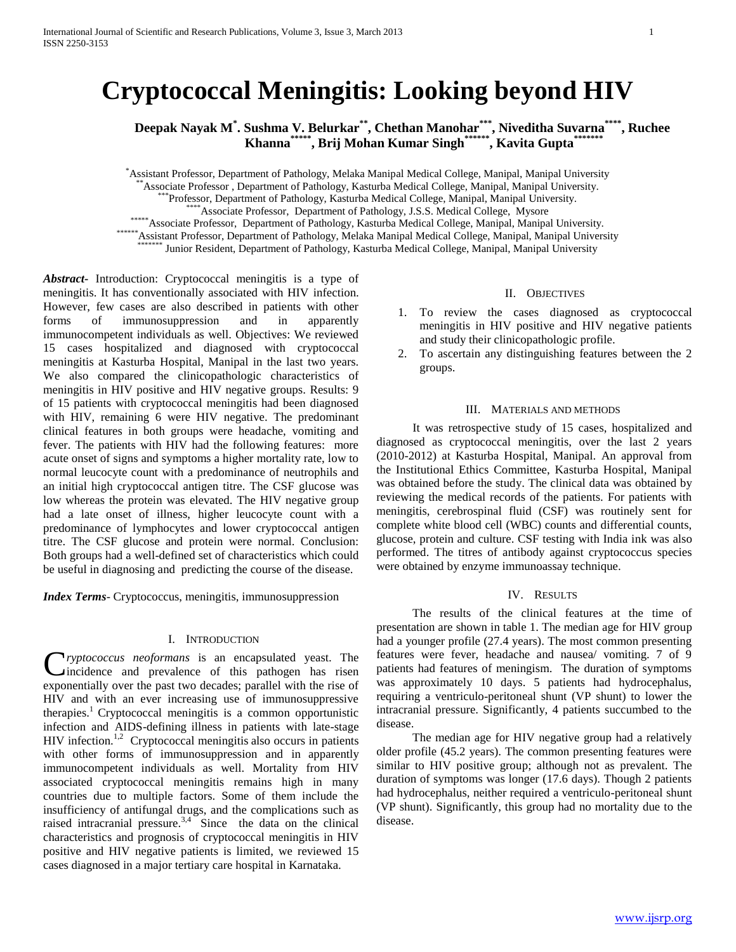# **Cryptococcal Meningitis: Looking beyond HIV**

**Deepak Nayak M\* . Sushma V. Belurkar\*\* , Chethan Manohar\*\*\* , Niveditha Suvarna\*\*\*\* , Ruchee Khanna\*\*\*\*\* , Brij Mohan Kumar Singh\*\*\*\*\*\* , Kavita Gupta\*\*\*\*\*\*\***

\*Assistant Professor, Department of Pathology, Melaka Manipal Medical College, Manipal, Manipal University

\*Associate Professor, Department of Pathology, Kasturba Medical College, Manipal, Manipal University.

\*Professor, Department of Pathology, Kasturba Medical College, Manipal, Manipal University.

\*Associate Professor, Department of Pathology, J.S.S. Medical College, Mysore

\*\*\*\*\*\* Associate Professor, Department of Pathology, Kasturba Medical College, Manipal, Manipal University.

\*\*\*\*\*\*Assistant Professor, Department of Pathology, Melaka Manipal Medical College, Manipal, Manipal University

Junior Resident, Department of Pathology, Kasturba Medical College, Manipal, Manipal University

*Abstract***-** Introduction: Cryptococcal meningitis is a type of meningitis. It has conventionally associated with HIV infection. However, few cases are also described in patients with other forms of immunosuppression and in apparently immunocompetent individuals as well. Objectives: We reviewed 15 cases hospitalized and diagnosed with cryptococcal meningitis at Kasturba Hospital, Manipal in the last two years. We also compared the clinicopathologic characteristics of meningitis in HIV positive and HIV negative groups. Results: 9 of 15 patients with cryptococcal meningitis had been diagnosed with HIV, remaining 6 were HIV negative. The predominant clinical features in both groups were headache, vomiting and fever. The patients with HIV had the following features: more acute onset of signs and symptoms a higher mortality rate, low to normal leucocyte count with a predominance of neutrophils and an initial high cryptococcal antigen titre. The CSF glucose was low whereas the protein was elevated. The HIV negative group had a late onset of illness, higher leucocyte count with a predominance of lymphocytes and lower cryptococcal antigen titre. The CSF glucose and protein were normal. Conclusion: Both groups had a well-defined set of characteristics which could be useful in diagnosing and predicting the course of the disease.

*Index Terms*- Cryptococcus, meningitis, immunosuppression

#### I. INTRODUCTION

**C**ryptococcus neoformans is an encapsulated yeast. The incidence and prevalence of this pathogen has risen incidence and prevalence of this pathogen has risen exponentially over the past two decades; parallel with the rise of HIV and with an ever increasing use of immunosuppressive therapies.<sup>1</sup> Cryptococcal meningitis is a common opportunistic infection and AIDS-defining illness in patients with late-stage HIV infection.<sup>1,2</sup> Cryptococcal meningitis also occurs in patients with other forms of immunosuppression and in apparently immunocompetent individuals as well. Mortality from HIV associated cryptococcal meningitis remains high in many countries due to multiple factors. Some of them include the insufficiency of antifungal drugs, and the complications such as raised intracranial pressure. $3,4$  Since the data on the clinical characteristics and prognosis of cryptococcal meningitis in HIV positive and HIV negative patients is limited, we reviewed 15 cases diagnosed in a major tertiary care hospital in Karnataka.

# II. OBJECTIVES

- 1. To review the cases diagnosed as cryptococcal meningitis in HIV positive and HIV negative patients and study their clinicopathologic profile.
- 2. To ascertain any distinguishing features between the 2 groups.

#### III. MATERIALS AND METHODS

 It was retrospective study of 15 cases, hospitalized and diagnosed as cryptococcal meningitis, over the last 2 years (2010-2012) at Kasturba Hospital, Manipal. An approval from the Institutional Ethics Committee, Kasturba Hospital, Manipal was obtained before the study. The clinical data was obtained by reviewing the medical records of the patients. For patients with meningitis, cerebrospinal fluid (CSF) was routinely sent for complete white blood cell (WBC) counts and differential counts, glucose, protein and culture. CSF testing with India ink was also performed. The titres of antibody against cryptococcus species were obtained by enzyme immunoassay technique.

### IV. RESULTS

 The results of the clinical features at the time of presentation are shown in table 1. The median age for HIV group had a younger profile (27.4 years). The most common presenting features were fever, headache and nausea/ vomiting. 7 of 9 patients had features of meningism. The duration of symptoms was approximately 10 days. 5 patients had hydrocephalus, requiring a ventriculo-peritoneal shunt (VP shunt) to lower the intracranial pressure. Significantly, 4 patients succumbed to the disease.

 The median age for HIV negative group had a relatively older profile (45.2 years). The common presenting features were similar to HIV positive group; although not as prevalent. The duration of symptoms was longer (17.6 days). Though 2 patients had hydrocephalus, neither required a ventriculo-peritoneal shunt (VP shunt). Significantly, this group had no mortality due to the disease.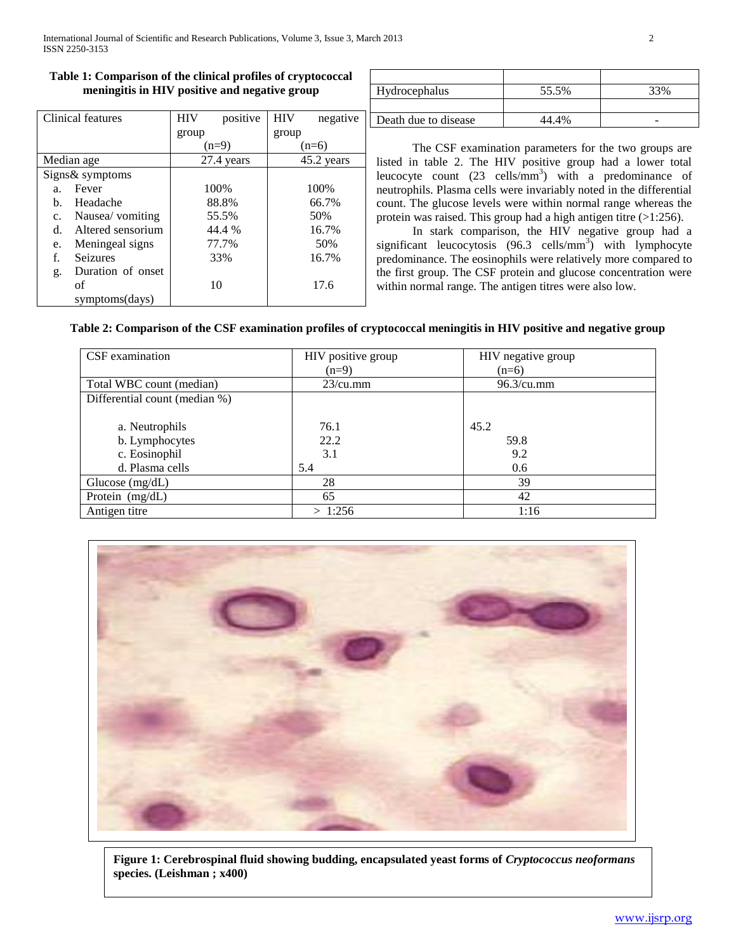# **Table 1: Comparison of the clinical profiles of cryptococcal meningitis in HIV positive and negative group**

| Clinical features |                   | <b>HIV</b> | positive | <b>HIV</b> | negative |
|-------------------|-------------------|------------|----------|------------|----------|
|                   |                   | group      |          | group      |          |
|                   |                   | $(n=9)$    |          | $(n=6)$    |          |
| Median age        |                   | 27.4 years |          | 45.2 years |          |
| Signs& symptoms   |                   |            |          |            |          |
| a.                | Fever             |            | 100%     |            | 100%     |
| b.                | Headache          |            | 88.8%    |            | 66.7%    |
| $\mathbf{c}$ .    | Nausea/ vomiting  |            | 55.5%    |            | 50%      |
| d.                | Altered sensorium |            | 44.4 %   |            | 16.7%    |
| e.                | Meningeal signs   |            | 77.7%    |            | 50%      |
| f.                | Seizures          |            | 33%      |            | 16.7%    |
| g.                | Duration of onset |            |          |            |          |
|                   | of                |            | 10       |            | 17.6     |
|                   | symptoms(days)    |            |          |            |          |

| Hydrocephalus        | 55.5% |   |
|----------------------|-------|---|
|                      |       |   |
| Death due to disease | 44    | - |

 The CSF examination parameters for the two groups are listed in table 2. The HIV positive group had a lower total leucocyte count  $(23 \text{ cells/mm}^3)$  with a predominance of neutrophils. Plasma cells were invariably noted in the differential count. The glucose levels were within normal range whereas the protein was raised. This group had a high antigen titre (>1:256).

 In stark comparison, the HIV negative group had a significant leucocytosis  $(96.3 \text{ cells/mm}^3)$  with lymphocyte predominance. The eosinophils were relatively more compared to the first group. The CSF protein and glucose concentration were within normal range. The antigen titres were also low.

## **Table 2: Comparison of the CSF examination profiles of cryptococcal meningitis in HIV positive and negative group**

| CSF examination               | HIV positive group | HIV negative group |
|-------------------------------|--------------------|--------------------|
|                               | $(n=9)$            | $(n=6)$            |
| Total WBC count (median)      | $23/cu$ .mm        | $96.3$ /cu.mm      |
| Differential count (median %) |                    |                    |
|                               |                    |                    |
| a. Neutrophils                | 76.1               | 45.2               |
| b. Lymphocytes                | 22.2               | 59.8               |
| c. Eosinophil                 | 3.1                | 9.2                |
| d. Plasma cells               | 5.4                | 0.6                |
| Glucose $(mg/dL)$             | 28                 | 39                 |
| Protein (mg/dL)               | 65                 | 42                 |
| Antigen titre                 | > 1:256            | 1:16               |



**Figure 1: Cerebrospinal fluid showing budding, encapsulated yeast forms of** *Cryptococcus neoformans* **species. (Leishman ; x400)**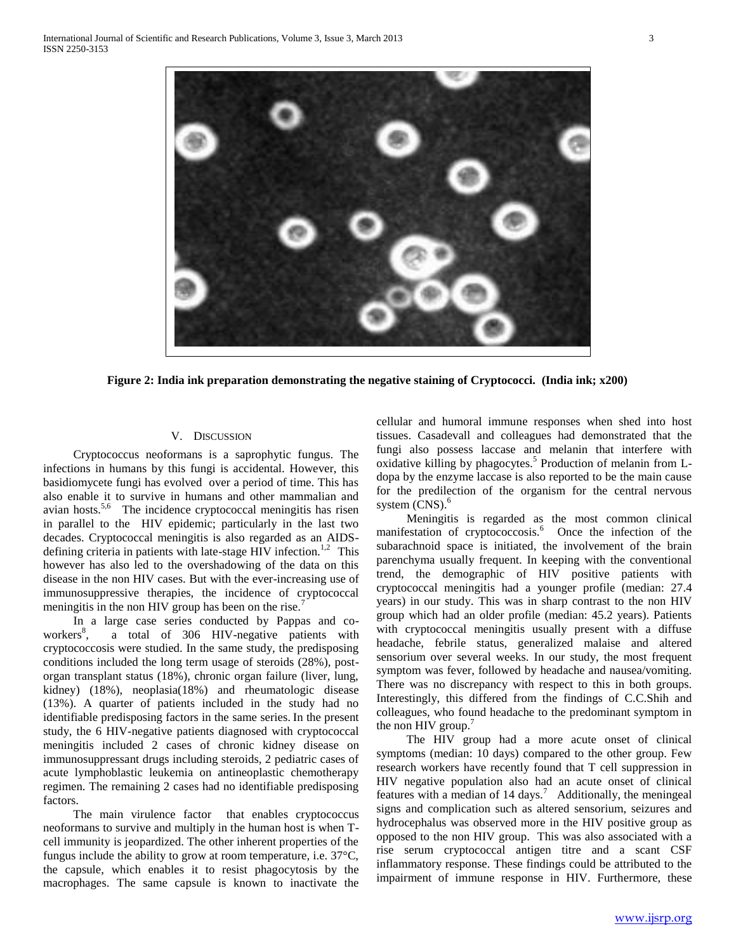

**Figure 2: India ink preparation demonstrating the negative staining of Cryptococci. (India ink; x200)**

## V. DISCUSSION

 Cryptococcus neoformans is a saprophytic fungus. The infections in humans by this fungi is accidental. However, this basidiomycete fungi has evolved over a period of time. This has also enable it to survive in humans and other mammalian and avian hosts.<sup>5,6</sup> The incidence cryptococcal meningitis has risen in parallel to the HIV epidemic; particularly in the last two decades. Cryptococcal meningitis is also regarded as an AIDSdefining criteria in patients with late-stage HIV infection.<sup>1,2</sup> This however has also led to the overshadowing of the data on this disease in the non HIV cases. But with the ever-increasing use of immunosuppressive therapies, the incidence of cryptococcal meningitis in the non HIV group has been on the rise.<sup>7</sup>

 In a large case series conducted by Pappas and coworkers<sup>8</sup>, , a total of 306 HIV-negative patients with cryptococcosis were studied. In the same study, the predisposing conditions included the long term usage of steroids (28%), postorgan transplant status (18%), chronic organ failure (liver, lung, kidney) (18%), neoplasia(18%) and rheumatologic disease (13%). A quarter of patients included in the study had no identifiable predisposing factors in the same series. In the present study, the 6 HIV-negative patients diagnosed with cryptococcal meningitis included 2 cases of chronic kidney disease on immunosuppressant drugs including steroids, 2 pediatric cases of acute lymphoblastic leukemia on antineoplastic chemotherapy regimen. The remaining 2 cases had no identifiable predisposing factors.

 The main virulence factor that enables cryptococcus neoformans to survive and multiply in the human host is when Tcell immunity is jeopardized. The other inherent properties of the fungus include the ability to grow at room temperature, i.e. 37°C, the capsule, which enables it to resist phagocytosis by the macrophages. The same capsule is known to inactivate the

cellular and humoral immune responses when shed into host tissues. Casadevall and colleagues had demonstrated that the fungi also possess laccase and melanin that interfere with oxidative killing by phagocytes.<sup>5</sup> Production of melanin from Ldopa by the enzyme laccase is also reported to be the main cause for the predilection of the organism for the central nervous system  $(CNS)$ .<sup>6</sup>

 Meningitis is regarded as the most common clinical manifestation of cryptococcosis.<sup>6</sup> Once the infection of the subarachnoid space is initiated, the involvement of the brain parenchyma usually frequent. In keeping with the conventional trend, the demographic of HIV positive patients with cryptococcal meningitis had a younger profile (median: 27.4 years) in our study. This was in sharp contrast to the non HIV group which had an older profile (median: 45.2 years). Patients with cryptococcal meningitis usually present with a diffuse headache, febrile status, generalized malaise and altered sensorium over several weeks. In our study, the most frequent symptom was fever, followed by headache and nausea/vomiting. There was no discrepancy with respect to this in both groups. Interestingly, this differed from the findings of C.C.Shih and colleagues, who found headache to the predominant symptom in the non HIV group.<sup>7</sup>

 The HIV group had a more acute onset of clinical symptoms (median: 10 days) compared to the other group. Few research workers have recently found that T cell suppression in HIV negative population also had an acute onset of clinical features with a median of  $14 \text{ days}$ . Additionally, the meningeal signs and complication such as altered sensorium, seizures and hydrocephalus was observed more in the HIV positive group as opposed to the non HIV group. This was also associated with a rise serum cryptococcal antigen titre and a scant CSF inflammatory response. These findings could be attributed to the impairment of immune response in HIV. Furthermore, these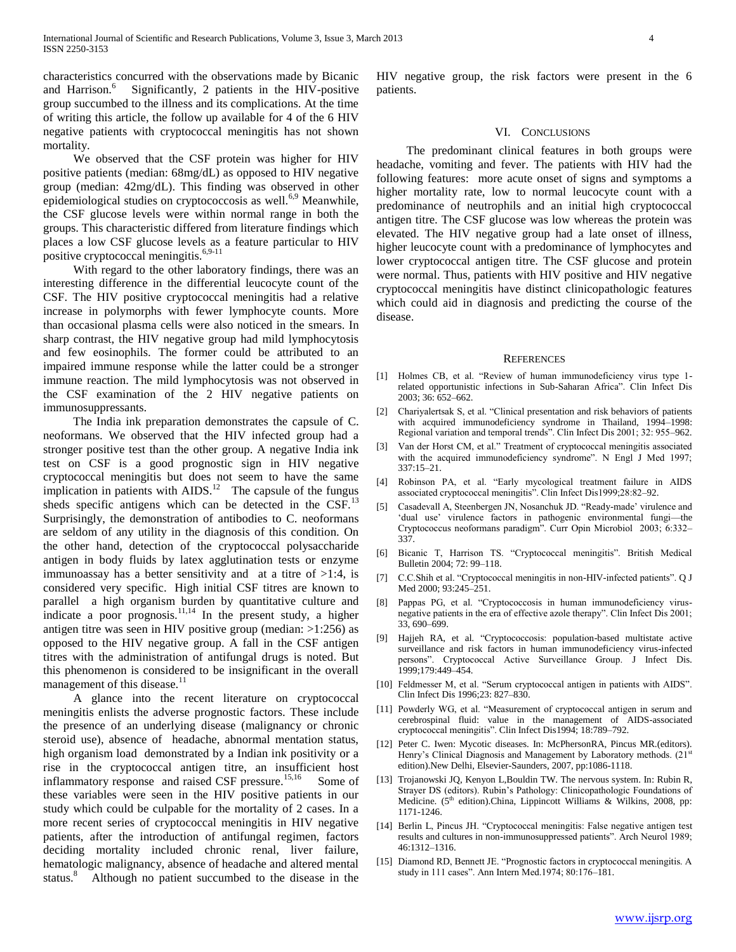characteristics concurred with the observations made by Bicanic and Harrison. $6$  Significantly, 2 patients in the HIV-positive group succumbed to the illness and its complications. At the time of writing this article, the follow up available for 4 of the 6 HIV negative patients with cryptococcal meningitis has not shown mortality.

 We observed that the CSF protein was higher for HIV positive patients (median: 68mg/dL) as opposed to HIV negative group (median: 42mg/dL). This finding was observed in other epidemiological studies on cryptococcosis as well. $6,9$  Meanwhile, the CSF glucose levels were within normal range in both the groups. This characteristic differed from literature findings which places a low CSF glucose levels as a feature particular to HIV positive cryptococcal meningitis.<sup>6,9-11</sup>

 With regard to the other laboratory findings, there was an interesting difference in the differential leucocyte count of the CSF. The HIV positive cryptococcal meningitis had a relative increase in polymorphs with fewer lymphocyte counts. More than occasional plasma cells were also noticed in the smears. In sharp contrast, the HIV negative group had mild lymphocytosis and few eosinophils. The former could be attributed to an impaired immune response while the latter could be a stronger immune reaction. The mild lymphocytosis was not observed in the CSF examination of the 2 HIV negative patients on immunosuppressants.

 The India ink preparation demonstrates the capsule of C. neoformans. We observed that the HIV infected group had a stronger positive test than the other group. A negative India ink test on CSF is a good prognostic sign in HIV negative cryptococcal meningitis but does not seem to have the same implication in patients with  $AIDS$ <sup>12</sup> The capsule of the fungus sheds specific antigens which can be detected in the  $CSF$ .<sup>13</sup> Surprisingly, the demonstration of antibodies to C. neoformans are seldom of any utility in the diagnosis of this condition. On the other hand, detection of the cryptococcal polysaccharide antigen in body fluids by latex agglutination tests or enzyme immunoassay has a better sensitivity and at a titre of  $>1:4$ , is considered very specific. High initial CSF titres are known to parallel a high organism burden by quantitative culture and indicate a poor prognosis.<sup>11,14</sup> In the present study, a higher antigen titre was seen in HIV positive group (median: >1:256) as opposed to the HIV negative group. A fall in the CSF antigen titres with the administration of antifungal drugs is noted. But this phenomenon is considered to be insignificant in the overall management of this disease.<sup>11</sup>

 A glance into the recent literature on cryptococcal meningitis enlists the adverse prognostic factors. These include the presence of an underlying disease (malignancy or chronic steroid use), absence of headache, abnormal mentation status, high organism load demonstrated by a Indian ink positivity or a rise in the cryptococcal antigen titre, an insufficient host inflammatory response and raised CSF pressure.<sup>15,16</sup> Some of these variables were seen in the HIV positive patients in our study which could be culpable for the mortality of 2 cases. In a more recent series of cryptococcal meningitis in HIV negative patients, after the introduction of antifungal regimen, factors deciding mortality included chronic renal, liver failure, hematologic malignancy, absence of headache and altered mental status.<sup>8</sup> Although no patient succumbed to the disease in the HIV negative group, the risk factors were present in the 6 patients.

#### VI. CONCLUSIONS

 The predominant clinical features in both groups were headache, vomiting and fever. The patients with HIV had the following features: more acute onset of signs and symptoms a higher mortality rate, low to normal leucocyte count with a predominance of neutrophils and an initial high cryptococcal antigen titre. The CSF glucose was low whereas the protein was elevated. The HIV negative group had a late onset of illness, higher leucocyte count with a predominance of lymphocytes and lower cryptococcal antigen titre. The CSF glucose and protein were normal. Thus, patients with HIV positive and HIV negative cryptococcal meningitis have distinct clinicopathologic features which could aid in diagnosis and predicting the course of the disease.

#### **REFERENCES**

- [1] Holmes CB, et al. "Review of human immunodeficiency virus type 1related opportunistic infections in Sub-Saharan Africa". Clin Infect Dis 2003; 36: 652–662.
- [2] Chariyalertsak S, et al. "Clinical presentation and risk behaviors of patients with acquired immunodeficiency syndrome in Thailand, 1994–1998: Regional variation and temporal trends". Clin Infect Dis 2001; 32: 955–962.
- Van der Horst CM, et al." Treatment of cryptococcal meningitis associated with the acquired immunodeficiency syndrome". N Engl J Med 1997; 337:15–21.
- [4] Robinson PA, et al. "Early mycological treatment failure in AIDS associated cryptococcal meningitis". Clin Infect Dis1999;28:82-92.
- Casadevall A, Steenbergen JN, Nosanchuk JD. "Ready-made' virulence and 'dual use' virulence factors in pathogenic environmental fungi-the Cryptococcus neoformans paradigm‖. Curr Opin Microbiol 2003; 6:332– 337.
- [6] Bicanic T, Harrison TS. "Cryptococcal meningitis". British Medical Bulletin 2004; 72: 99–118.
- [7] C.C.Shih et al. "Cryptococcal meningitis in non-HIV-infected patients". Q J Med 2000; 93:245–251.
- [8] Pappas PG, et al. "Cryptococcosis in human immunodeficiency virusnegative patients in the era of effective azole therapy". Clin Infect Dis 2001; 33, 690–699.
- [9] Hajjeh RA, et al. "Cryptococcosis: population-based multistate active surveillance and risk factors in human immunodeficiency virus-infected persons". Cryptococcal Active Surveillance Group. J Infect Dis. 1999;179:449–454.
- [10] Feldmesser M, et al. "Serum cryptococcal antigen in patients with AIDS". Clin Infect Dis 1996;23: 827–830.
- [11] Powderly WG, et al. "Measurement of cryptococcal antigen in serum and cerebrospinal fluid: value in the management of AIDS-associated cryptococcal meningitis". Clin Infect Dis1994; 18:789-792.
- [12] Peter C. Iwen: Mycotic diseases. In: McPhersonRA, Pincus MR.(editors). Henry's Clinical Diagnosis and Management by Laboratory methods. (21<sup>st</sup> edition).New Delhi, Elsevier-Saunders, 2007, pp:1086-1118.
- [13] Trojanowski JQ, Kenyon L,Bouldin TW. The nervous system. In: Rubin R, Strayer DS (editors). Rubin's Pathology: Clinicopathologic Foundations of Medicine. (5<sup>th</sup> edition).China, Lippincott Williams & Wilkins, 2008, pp: 1171-1246.
- [14] Berlin L, Pincus JH. "Cryptococcal meningitis: False negative antigen test results and cultures in non-immunosuppressed patients". Arch Neurol 1989; 46:1312–1316.
- [15] Diamond RD, Bennett JE. "Prognostic factors in cryptococcal meningitis. A study in 111 cases". Ann Intern Med.1974; 80:176-181.